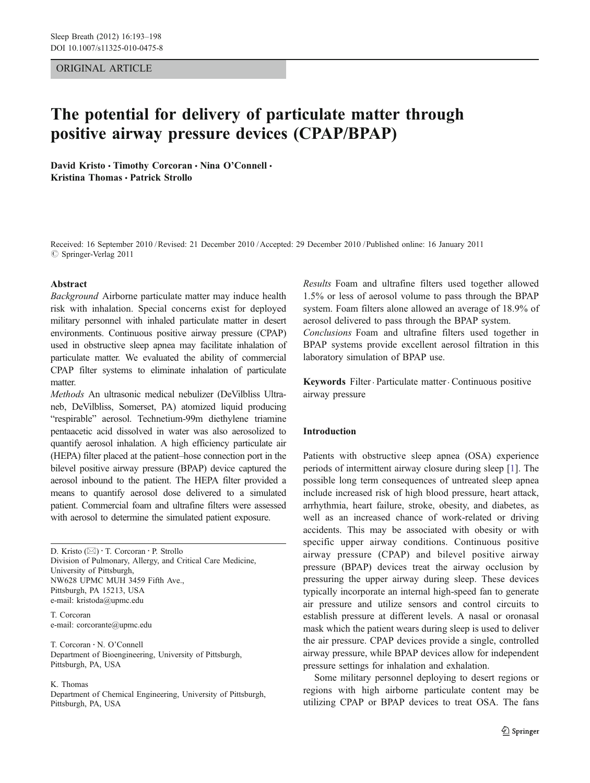## ORIGINAL ARTICLE

# The potential for delivery of particulate matter through positive airway pressure devices (CPAP/BPAP)

David Kristo · Timothy Corcoran · Nina O'Connell · Kristina Thomas · Patrick Strollo

Received: 16 September 2010 /Revised: 21 December 2010 /Accepted: 29 December 2010 / Published online: 16 January 2011  $\oslash$  Springer-Verlag 2011

### Abstract

Background Airborne particulate matter may induce health risk with inhalation. Special concerns exist for deployed military personnel with inhaled particulate matter in desert environments. Continuous positive airway pressure (CPAP) used in obstructive sleep apnea may facilitate inhalation of particulate matter. We evaluated the ability of commercial CPAP filter systems to eliminate inhalation of particulate matter.

Methods An ultrasonic medical nebulizer (DeVilbliss Ultraneb, DeVilbliss, Somerset, PA) atomized liquid producing "respirable" aerosol. Technetium-99m diethylene triamine pentaacetic acid dissolved in water was also aerosolized to quantify aerosol inhalation. A high efficiency particulate air (HEPA) filter placed at the patient–hose connection port in the bilevel positive airway pressure (BPAP) device captured the aerosol inbound to the patient. The HEPA filter provided a means to quantify aerosol dose delivered to a simulated patient. Commercial foam and ultrafine filters were assessed with aerosol to determine the simulated patient exposure.

D. Kristo  $(\boxtimes) \cdot$  T. Corcoran  $\cdot$  P. Strollo Division of Pulmonary, Allergy, and Critical Care Medicine, University of Pittsburgh, NW628 UPMC MUH 3459 Fifth Ave., Pittsburgh, PA 15213, USA e-mail: kristoda@upmc.edu

T. Corcoran e-mail: corcorante@upmc.edu

T. Corcoran : N. O'Connell Department of Bioengineering, University of Pittsburgh, Pittsburgh, PA, USA

K. Thomas

Department of Chemical Engineering, University of Pittsburgh, Pittsburgh, PA, USA

Results Foam and ultrafine filters used together allowed 1.5% or less of aerosol volume to pass through the BPAP system. Foam filters alone allowed an average of 18.9% of aerosol delivered to pass through the BPAP system. Conclusions Foam and ultrafine filters used together in BPAP systems provide excellent aerosol filtration in this laboratory simulation of BPAP use.

Keywords Filter. Particulate matter. Continuous positive airway pressure

## Introduction

Patients with obstructive sleep apnea (OSA) experience periods of intermittent airway closure during sleep [\[1](#page-4-0)]. The possible long term consequences of untreated sleep apnea include increased risk of high blood pressure, heart attack, arrhythmia, heart failure, stroke, obesity, and diabetes, as well as an increased chance of work-related or driving accidents. This may be associated with obesity or with specific upper airway conditions. Continuous positive airway pressure (CPAP) and bilevel positive airway pressure (BPAP) devices treat the airway occlusion by pressuring the upper airway during sleep. These devices typically incorporate an internal high-speed fan to generate air pressure and utilize sensors and control circuits to establish pressure at different levels. A nasal or oronasal mask which the patient wears during sleep is used to deliver the air pressure. CPAP devices provide a single, controlled airway pressure, while BPAP devices allow for independent pressure settings for inhalation and exhalation.

Some military personnel deploying to desert regions or regions with high airborne particulate content may be utilizing CPAP or BPAP devices to treat OSA. The fans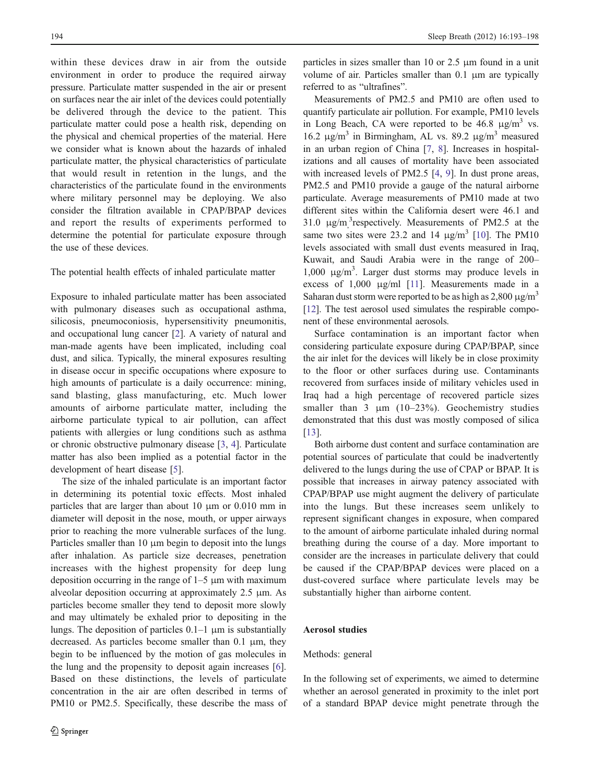within these devices draw in air from the outside environment in order to produce the required airway pressure. Particulate matter suspended in the air or present on surfaces near the air inlet of the devices could potentially be delivered through the device to the patient. This particulate matter could pose a health risk, depending on the physical and chemical properties of the material. Here we consider what is known about the hazards of inhaled particulate matter, the physical characteristics of particulate that would result in retention in the lungs, and the characteristics of the particulate found in the environments where military personnel may be deploying. We also consider the filtration available in CPAP/BPAP devices and report the results of experiments performed to determine the potential for particulate exposure through the use of these devices.

## The potential health effects of inhaled particulate matter

Exposure to inhaled particulate matter has been associated with pulmonary diseases such as occupational asthma, silicosis, pneumoconiosis, hypersensitivity pneumonitis, and occupational lung cancer [[2\]](#page-5-0). A variety of natural and man-made agents have been implicated, including coal dust, and silica. Typically, the mineral exposures resulting in disease occur in specific occupations where exposure to high amounts of particulate is a daily occurrence: mining, sand blasting, glass manufacturing, etc. Much lower amounts of airborne particulate matter, including the airborne particulate typical to air pollution, can affect patients with allergies or lung conditions such as asthma or chronic obstructive pulmonary disease [[3,](#page-5-0) [4](#page-5-0)]. Particulate matter has also been implied as a potential factor in the development of heart disease [[5\]](#page-5-0).

The size of the inhaled particulate is an important factor in determining its potential toxic effects. Most inhaled particles that are larger than about 10 μm or 0.010 mm in diameter will deposit in the nose, mouth, or upper airways prior to reaching the more vulnerable surfaces of the lung. Particles smaller than 10 μm begin to deposit into the lungs after inhalation. As particle size decreases, penetration increases with the highest propensity for deep lung deposition occurring in the range of  $1-5 \mu m$  with maximum alveolar deposition occurring at approximately 2.5 μm. As particles become smaller they tend to deposit more slowly and may ultimately be exhaled prior to depositing in the lungs. The deposition of particles  $0.1-1 \mu m$  is substantially decreased. As particles become smaller than 0.1 μm, they begin to be influenced by the motion of gas molecules in the lung and the propensity to deposit again increases [\[6](#page-5-0)]. Based on these distinctions, the levels of particulate concentration in the air are often described in terms of PM10 or PM2.5. Specifically, these describe the mass of

particles in sizes smaller than 10 or 2.5 μm found in a unit volume of air. Particles smaller than 0.1 μm are typically referred to as "ultrafines".

Measurements of PM2.5 and PM10 are often used to quantify particulate air pollution. For example, PM10 levels in Long Beach, CA were reported to be  $46.8 \mu g/m^3$  vs. 16.2 μg/m<sup>3</sup> in Birmingham, AL vs. 89.2 μg/m<sup>3</sup> measured in an urban region of China [[7,](#page-5-0) [8](#page-5-0)]. Increases in hospitalizations and all causes of mortality have been associated with increased levels of PM2.5 [\[4](#page-5-0), [9](#page-5-0)]. In dust prone areas, PM2.5 and PM10 provide a gauge of the natural airborne particulate. Average measurements of PM10 made at two different sites within the California desert were 46.1 and 31.0  $\mu$ g/m<sub>,</sub><sup>3</sup>respectively. Measurements of PM2.5 at the same two sites were 23.2 and 14  $\mu$ g/m<sup>3</sup> [[10\]](#page-5-0). The PM10 levels associated with small dust events measured in Iraq, Kuwait, and Saudi Arabia were in the range of 200– 1,000 μg/m<sup>3</sup> . Larger dust storms may produce levels in excess of 1,000 μg/ml [[11\]](#page-5-0). Measurements made in a Saharan dust storm were reported to be as high as  $2,800 \mu g/m<sup>3</sup>$ [\[12](#page-5-0)]. The test aerosol used simulates the respirable component of these environmental aerosols.

Surface contamination is an important factor when considering particulate exposure during CPAP/BPAP, since the air inlet for the devices will likely be in close proximity to the floor or other surfaces during use. Contaminants recovered from surfaces inside of military vehicles used in Iraq had a high percentage of recovered particle sizes smaller than 3  $\mu$ m (10–23%). Geochemistry studies demonstrated that this dust was mostly composed of silica [\[13](#page-5-0)].

Both airborne dust content and surface contamination are potential sources of particulate that could be inadvertently delivered to the lungs during the use of CPAP or BPAP. It is possible that increases in airway patency associated with CPAP/BPAP use might augment the delivery of particulate into the lungs. But these increases seem unlikely to represent significant changes in exposure, when compared to the amount of airborne particulate inhaled during normal breathing during the course of a day. More important to consider are the increases in particulate delivery that could be caused if the CPAP/BPAP devices were placed on a dust-covered surface where particulate levels may be substantially higher than airborne content.

## Aerosol studies

#### Methods: general

In the following set of experiments, we aimed to determine whether an aerosol generated in proximity to the inlet port of a standard BPAP device might penetrate through the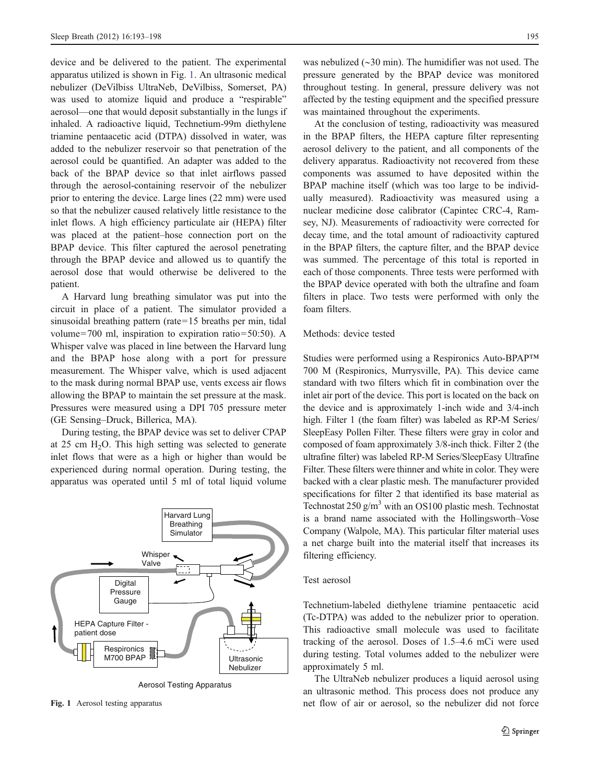<span id="page-2-0"></span>device and be delivered to the patient. The experimental apparatus utilized is shown in Fig. 1. An ultrasonic medical nebulizer (DeVilbiss UltraNeb, DeVilbiss, Somerset, PA) was used to atomize liquid and produce a "respirable" aerosol—one that would deposit substantially in the lungs if inhaled. A radioactive liquid, Technetium-99m diethylene triamine pentaacetic acid (DTPA) dissolved in water, was added to the nebulizer reservoir so that penetration of the aerosol could be quantified. An adapter was added to the back of the BPAP device so that inlet airflows passed through the aerosol-containing reservoir of the nebulizer prior to entering the device. Large lines (22 mm) were used so that the nebulizer caused relatively little resistance to the inlet flows. A high efficiency particulate air (HEPA) filter was placed at the patient–hose connection port on the BPAP device. This filter captured the aerosol penetrating through the BPAP device and allowed us to quantify the aerosol dose that would otherwise be delivered to the patient.

A Harvard lung breathing simulator was put into the circuit in place of a patient. The simulator provided a sinusoidal breathing pattern (rate=15 breaths per min, tidal volume=700 ml, inspiration to expiration ratio=50:50). A Whisper valve was placed in line between the Harvard lung and the BPAP hose along with a port for pressure measurement. The Whisper valve, which is used adjacent to the mask during normal BPAP use, vents excess air flows allowing the BPAP to maintain the set pressure at the mask. Pressures were measured using a DPI 705 pressure meter (GE Sensing–Druck, Billerica, MA).

During testing, the BPAP device was set to deliver CPAP at  $25 \text{ cm H}_2\text{O}$ . This high setting was selected to generate inlet flows that were as a high or higher than would be experienced during normal operation. During testing, the apparatus was operated until 5 ml of total liquid volume



Aerosol Testing Apparatus

Fig. 1 Aerosol testing apparatus

was nebulized (∼30 min). The humidifier was not used. The pressure generated by the BPAP device was monitored throughout testing. In general, pressure delivery was not affected by the testing equipment and the specified pressure was maintained throughout the experiments.

At the conclusion of testing, radioactivity was measured in the BPAP filters, the HEPA capture filter representing aerosol delivery to the patient, and all components of the delivery apparatus. Radioactivity not recovered from these components was assumed to have deposited within the BPAP machine itself (which was too large to be individually measured). Radioactivity was measured using a nuclear medicine dose calibrator (Capintec CRC-4, Ramsey, NJ). Measurements of radioactivity were corrected for decay time, and the total amount of radioactivity captured in the BPAP filters, the capture filter, and the BPAP device was summed. The percentage of this total is reported in each of those components. Three tests were performed with the BPAP device operated with both the ultrafine and foam filters in place. Two tests were performed with only the foam filters.

## Methods: device tested

Studies were performed using a Respironics Auto-BPAP™ 700 M (Respironics, Murrysville, PA). This device came standard with two filters which fit in combination over the inlet air port of the device. This port is located on the back on the device and is approximately 1-inch wide and 3/4-inch high. Filter 1 (the foam filter) was labeled as RP-M Series/ SleepEasy Pollen Filter. These filters were gray in color and composed of foam approximately 3/8-inch thick. Filter 2 (the ultrafine filter) was labeled RP-M Series/SleepEasy Ultrafine Filter. These filters were thinner and white in color. They were backed with a clear plastic mesh. The manufacturer provided specifications for filter 2 that identified its base material as Technostat  $250$  g/m<sup>3</sup> with an OS100 plastic mesh. Technostat is a brand name associated with the Hollingsworth–Vose Company (Walpole, MA). This particular filter material uses a net charge built into the material itself that increases its filtering efficiency.

## Test aerosol

Technetium-labeled diethylene triamine pentaacetic acid (Tc-DTPA) was added to the nebulizer prior to operation. This radioactive small molecule was used to facilitate tracking of the aerosol. Doses of 1.5–4.6 mCi were used during testing. Total volumes added to the nebulizer were approximately 5 ml.

The UltraNeb nebulizer produces a liquid aerosol using an ultrasonic method. This process does not produce any net flow of air or aerosol, so the nebulizer did not force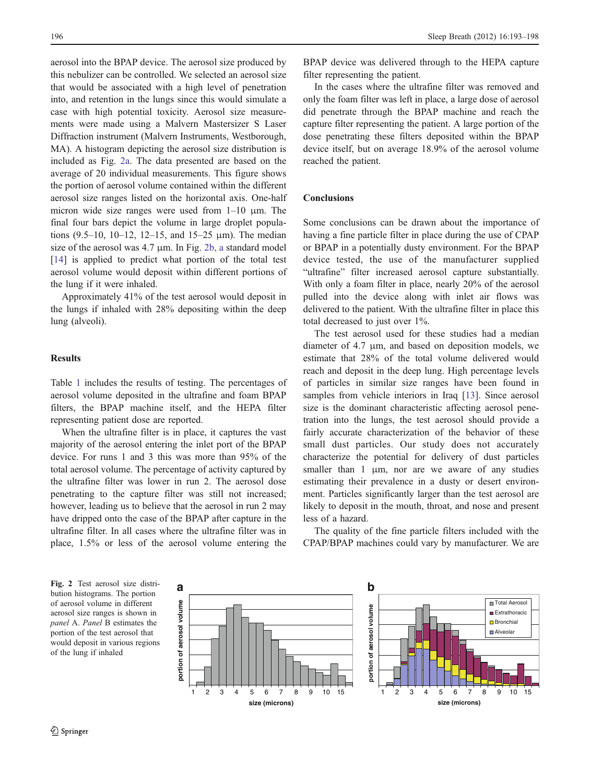aerosol into the BPAP device. The aerosol size produced by this nebulizer can be controlled. We selected an aerosol size that would be associated with a high level of penetration into, and retention in the lungs since this would simulate a case with high potential toxicity. Aerosol size measurements were made using a Malvern Mastersizer S Laser Diffraction instrument (Malvern Instruments, Westborough, MA). A histogram depicting the aerosol size distribution is included as Fig. 2a. The data presented are based on the average of 20 individual measurements. This figure shows the portion of aerosol volume contained within the different aerosol size ranges listed on the horizontal axis. One-half micron wide size ranges were used from  $1-10 \mu m$ . The final four bars depict the volume in large droplet populations (9.5–10, 10–12, 12–15, and 15–25  $\mu$ m). The median size of the aerosol was 4.7 μm. In Fig. 2b, a standard model [\[14](#page-5-0)] is applied to predict what portion of the total test aerosol volume would deposit within different portions of the lung if it were inhaled.

Approximately 41% of the test aerosol would deposit in the lungs if inhaled with 28% depositing within the deep lung (alveoli).

## Results

Table [1](#page-4-0) includes the results of testing. The percentages of aerosol volume deposited in the ultrafine and foam BPAP filters, the BPAP machine itself, and the HEPA filter representing patient dose are reported.

When the ultrafine filter is in place, it captures the vast majority of the aerosol entering the inlet port of the BPAP device. For runs 1 and 3 this was more than 95% of the total aerosol volume. The percentage of activity captured by the ultrafine filter was lower in run 2. The aerosol dose penetrating to the capture filter was still not increased; however, leading us to believe that the aerosol in run 2 may have dripped onto the case of the BPAP after capture in the ultrafine filter. In all cases where the ultrafine filter was in place, 1.5% or less of the aerosol volume entering the BPAP device was delivered through to the HEPA capture filter representing the patient.

In the cases where the ultrafine filter was removed and only the foam filter was left in place, a large dose of aerosol did penetrate through the BPAP machine and reach the capture filter representing the patient. A large portion of the dose penetrating these filters deposited within the BPAP device itself, but on average 18.9% of the aerosol volume reached the patient.

## Conclusions

Some conclusions can be drawn about the importance of having a fine particle filter in place during the use of CPAP or BPAP in a potentially dusty environment. For the BPAP device tested, the use of the manufacturer supplied "ultrafine" filter increased aerosol capture substantially. With only a foam filter in place, nearly 20% of the aerosol pulled into the device along with inlet air flows was delivered to the patient. With the ultrafine filter in place this total decreased to just over 1%.

The test aerosol used for these studies had a median diameter of 4.7 μm, and based on deposition models, we estimate that 28% of the total volume delivered would reach and deposit in the deep lung. High percentage levels of particles in similar size ranges have been found in samples from vehicle interiors in Iraq [[13\]](#page-5-0). Since aerosol size is the dominant characteristic affecting aerosol penetration into the lungs, the test aerosol should provide a fairly accurate characterization of the behavior of these small dust particles. Our study does not accurately characterize the potential for delivery of dust particles smaller than  $1 \mu m$ , nor are we aware of any studies estimating their prevalence in a dusty or desert environment. Particles significantly larger than the test aerosol are likely to deposit in the mouth, throat, and nose and present less of a hazard.

The quality of the fine particle filters included with the CPAP/BPAP machines could vary by manufacturer. We are

bution histograms. The portion of aerosol volume in different aerosol size ranges is shown in panel A. Panel B estimates the portion of the test aerosol that would deposit in various regions of the lung if inhaled

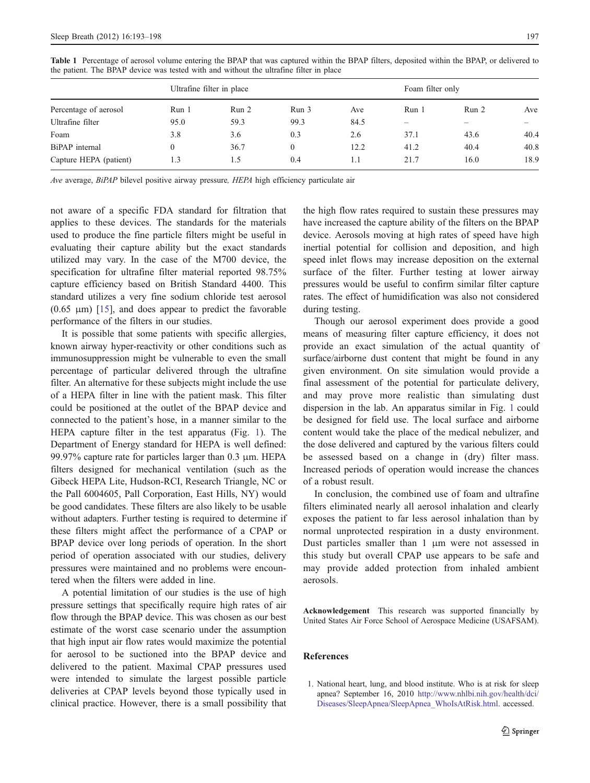| Percentage of aerosol  | Ultrafine filter in place |       |       |      | Foam filter only |       |      |
|------------------------|---------------------------|-------|-------|------|------------------|-------|------|
|                        | Run 1                     | Run 2 | Run 3 | Ave  | Run 1            | Run 2 | Ave  |
| Ultrafine filter       | 95.0                      | 59.3  | 99.3  | 84.5 | -                | -     |      |
| Foam                   | 3.8                       | 3.6   | 0.3   | 2.6  | 37.1             | 43.6  | 40.4 |
| BiPAP internal         |                           | 36.7  |       | 12.2 | 41.2             | 40.4  | 40.8 |
| Capture HEPA (patient) | 1.3                       | 1.5   | 0.4   | 1.1  | 21.7             | 16.0  | 18.9 |

<span id="page-4-0"></span>Table 1 Percentage of aerosol volume entering the BPAP that was captured within the BPAP filters, deposited within the BPAP, or delivered to the patient. The BPAP device was tested with and without the ultrafine filter in place

Ave average, BiPAP bilevel positive airway pressure, HEPA high efficiency particulate air

not aware of a specific FDA standard for filtration that applies to these devices. The standards for the materials used to produce the fine particle filters might be useful in evaluating their capture ability but the exact standards utilized may vary. In the case of the M700 device, the specification for ultrafine filter material reported 98.75% capture efficiency based on British Standard 4400. This standard utilizes a very fine sodium chloride test aerosol  $(0.65 \mu m)$  [[15](#page-5-0)], and does appear to predict the favorable performance of the filters in our studies.

It is possible that some patients with specific allergies, known airway hyper-reactivity or other conditions such as immunosuppression might be vulnerable to even the small percentage of particular delivered through the ultrafine filter. An alternative for these subjects might include the use of a HEPA filter in line with the patient mask. This filter could be positioned at the outlet of the BPAP device and connected to the patient's hose, in a manner similar to the HEPA capture filter in the test apparatus (Fig. [1\)](#page-2-0). The Department of Energy standard for HEPA is well defined: 99.97% capture rate for particles larger than 0.3 μm. HEPA filters designed for mechanical ventilation (such as the Gibeck HEPA Lite, Hudson-RCI, Research Triangle, NC or the Pall 6004605, Pall Corporation, East Hills, NY) would be good candidates. These filters are also likely to be usable without adapters. Further testing is required to determine if these filters might affect the performance of a CPAP or BPAP device over long periods of operation. In the short period of operation associated with our studies, delivery pressures were maintained and no problems were encountered when the filters were added in line.

A potential limitation of our studies is the use of high pressure settings that specifically require high rates of air flow through the BPAP device. This was chosen as our best estimate of the worst case scenario under the assumption that high input air flow rates would maximize the potential for aerosol to be suctioned into the BPAP device and delivered to the patient. Maximal CPAP pressures used were intended to simulate the largest possible particle deliveries at CPAP levels beyond those typically used in clinical practice. However, there is a small possibility that the high flow rates required to sustain these pressures may have increased the capture ability of the filters on the BPAP device. Aerosols moving at high rates of speed have high inertial potential for collision and deposition, and high speed inlet flows may increase deposition on the external surface of the filter. Further testing at lower airway pressures would be useful to confirm similar filter capture rates. The effect of humidification was also not considered during testing.

Though our aerosol experiment does provide a good means of measuring filter capture efficiency, it does not provide an exact simulation of the actual quantity of surface/airborne dust content that might be found in any given environment. On site simulation would provide a final assessment of the potential for particulate delivery, and may prove more realistic than simulating dust dispersion in the lab. An apparatus similar in Fig. [1](#page-2-0) could be designed for field use. The local surface and airborne content would take the place of the medical nebulizer, and the dose delivered and captured by the various filters could be assessed based on a change in (dry) filter mass. Increased periods of operation would increase the chances of a robust result.

In conclusion, the combined use of foam and ultrafine filters eliminated nearly all aerosol inhalation and clearly exposes the patient to far less aerosol inhalation than by normal unprotected respiration in a dusty environment. Dust particles smaller than 1 μm were not assessed in this study but overall CPAP use appears to be safe and may provide added protection from inhaled ambient aerosols.

Acknowledgement This research was supported financially by United States Air Force School of Aerospace Medicine (USAFSAM).

## References

1. National heart, lung, and blood institute. Who is at risk for sleep apnea? September 16, 2010 [http://www.nhlbi.nih.gov/health/dci/](http://www.nhlbi.nih.gov/health/dci/Diseases/SleepApnea/SleepApnea_WhoIsAtRisk.html) [Diseases/SleepApnea/SleepApnea\\_WhoIsAtRisk.html](http://www.nhlbi.nih.gov/health/dci/Diseases/SleepApnea/SleepApnea_WhoIsAtRisk.html). accessed.